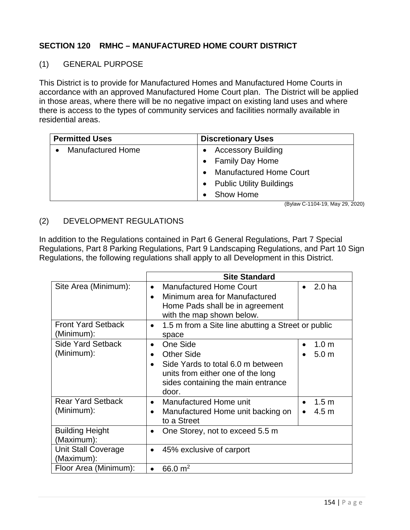# **SECTION 120 RMHC – MANUFACTURED HOME COURT DISTRICT**

#### (1) GENERAL PURPOSE

This District is to provide for Manufactured Homes and Manufactured Home Courts in accordance with an approved Manufactured Home Court plan. The District will be applied in those areas, where there will be no negative impact on existing land uses and where there is access to the types of community services and facilities normally available in residential areas.

| <b>Permitted Uses</b>    | <b>Discretionary Uses</b>           |
|--------------------------|-------------------------------------|
| <b>Manufactured Home</b> | <b>Accessory Building</b>           |
|                          | <b>Family Day Home</b><br>$\bullet$ |
|                          | <b>Manufactured Home Court</b>      |
|                          | • Public Utility Buildings          |
|                          | Show Home                           |

(Bylaw C-1104-19, May 29, 2020)

## (2) DEVELOPMENT REGULATIONS

In addition to the Regulations contained in Part 6 General Regulations, Part 7 Special Regulations, Part 8 Parking Regulations, Part 9 Landscaping Regulations, and Part 10 Sign Regulations, the following regulations shall apply to all Development in this District.

|                                          | <b>Site Standard</b>                                                                                                                                                |                                                   |  |
|------------------------------------------|---------------------------------------------------------------------------------------------------------------------------------------------------------------------|---------------------------------------------------|--|
| Site Area (Minimum):                     | <b>Manufactured Home Court</b><br>$\bullet$<br>Minimum area for Manufactured<br>Home Pads shall be in agreement<br>with the map shown below.                        | 2.0 <sub>ha</sub><br>$\bullet$                    |  |
| <b>Front Yard Setback</b><br>(Minimum):  | 1.5 m from a Site line abutting a Street or public<br>$\bullet$<br>space                                                                                            |                                                   |  |
| <b>Side Yard Setback</b><br>(Minimum):   | One Side<br>$\bullet$<br><b>Other Side</b><br>Side Yards to total 6.0 m between<br>units from either one of the long<br>sides containing the main entrance<br>door. | 1.0 <sub>m</sub><br>5.0 <sub>m</sub><br>$\bullet$ |  |
| <b>Rear Yard Setback</b><br>(Minimum):   | Manufactured Home unit<br>$\bullet$<br>Manufactured Home unit backing on<br>to a Street                                                                             | 1.5 <sub>m</sub><br>4.5 <sub>m</sub>              |  |
| <b>Building Height</b><br>(Maximum):     | One Storey, not to exceed 5.5 m                                                                                                                                     |                                                   |  |
| <b>Unit Stall Coverage</b><br>(Maximum): | 45% exclusive of carport<br>$\bullet$                                                                                                                               |                                                   |  |
| Floor Area (Minimum):                    | 66.0 $m2$                                                                                                                                                           |                                                   |  |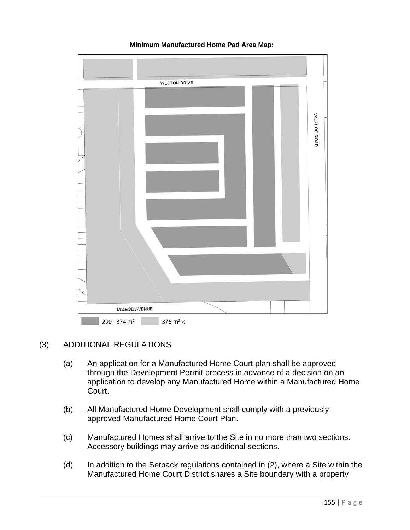

#### **Minimum Manufactured Home Pad Area Map:**

### (3) ADDITIONAL REGULATIONS

- (a) An application for a Manufactured Home Court plan shall be approved through the Development Permit process in advance of a decision on an application to develop any Manufactured Home within a Manufactured Home Court.
- (b) All Manufactured Home Development shall comply with a previously approved Manufactured Home Court Plan.
- (c) Manufactured Homes shall arrive to the Site in no more than two sections. Accessory buildings may arrive as additional sections.
- (d) In addition to the Setback regulations contained in (2), where a Site within the Manufactured Home Court District shares a Site boundary with a property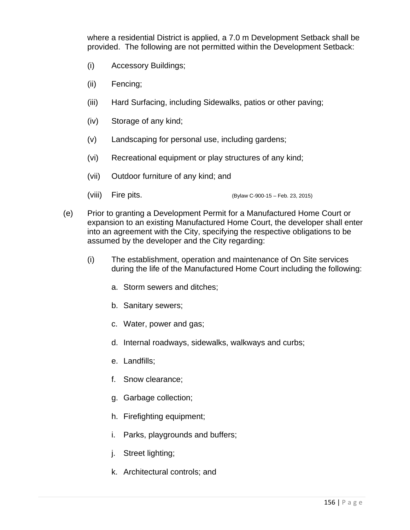where a residential District is applied, a 7.0 m Development Setback shall be provided. The following are not permitted within the Development Setback:

- (i) Accessory Buildings;
- (ii) Fencing;
- (iii) Hard Surfacing, including Sidewalks, patios or other paving;
- (iv) Storage of any kind;
- (v) Landscaping for personal use, including gardens;
- (vi) Recreational equipment or play structures of any kind;
- (vii) Outdoor furniture of any kind; and
- (viii) Fire pits. (Bylaw C-900-15 Feb. 23, 2015)
- (e) Prior to granting a Development Permit for a Manufactured Home Court or expansion to an existing Manufactured Home Court, the developer shall enter into an agreement with the City, specifying the respective obligations to be assumed by the developer and the City regarding:
	- (i) The establishment, operation and maintenance of On Site services during the life of the Manufactured Home Court including the following:
		- a. Storm sewers and ditches;
		- b. Sanitary sewers;
		- c. Water, power and gas;
		- d. Internal roadways, sidewalks, walkways and curbs;
		- e. Landfills;
		- f. Snow clearance;
		- g. Garbage collection;
		- h. Firefighting equipment;
		- i. Parks, playgrounds and buffers;
		- j. Street lighting;
		- k. Architectural controls; and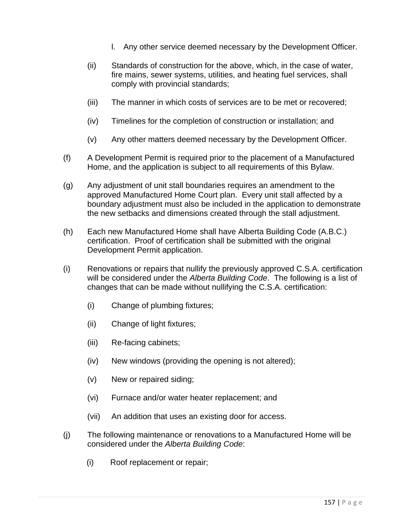- l. Any other service deemed necessary by the Development Officer.
- (ii) Standards of construction for the above, which, in the case of water, fire mains, sewer systems, utilities, and heating fuel services, shall comply with provincial standards;
- (iii) The manner in which costs of services are to be met or recovered;
- (iv) Timelines for the completion of construction or installation; and
- (v) Any other matters deemed necessary by the Development Officer.
- (f) A Development Permit is required prior to the placement of a Manufactured Home, and the application is subject to all requirements of this Bylaw.
- (g) Any adjustment of unit stall boundaries requires an amendment to the approved Manufactured Home Court plan. Every unit stall affected by a boundary adjustment must also be included in the application to demonstrate the new setbacks and dimensions created through the stall adjustment.
- (h) Each new Manufactured Home shall have Alberta Building Code (A.B.C.) certification. Proof of certification shall be submitted with the original Development Permit application.
- (i) Renovations or repairs that nullify the previously approved C.S.A. certification will be considered under the *Alberta Building Code*. The following is a list of changes that can be made without nullifying the C.S.A. certification:
	- (i) Change of plumbing fixtures;
	- (ii) Change of light fixtures;
	- (iii) Re-facing cabinets;
	- (iv) New windows (providing the opening is not altered);
	- (v) New or repaired siding;
	- (vi) Furnace and/or water heater replacement; and
	- (vii) An addition that uses an existing door for access.
- (j) The following maintenance or renovations to a Manufactured Home will be considered under the *Alberta Building Code*:
	- (i) Roof replacement or repair;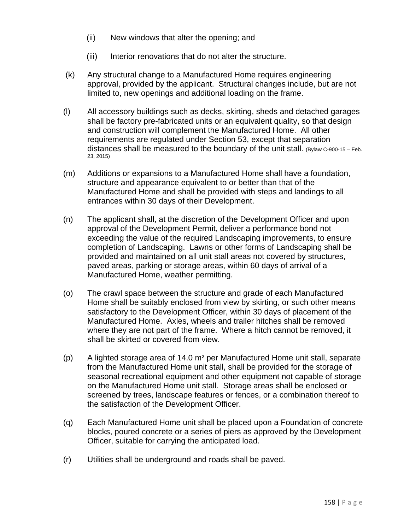- (ii) New windows that alter the opening; and
- (iii) Interior renovations that do not alter the structure.
- (k) Any structural change to a Manufactured Home requires engineering approval, provided by the applicant. Structural changes include, but are not limited to, new openings and additional loading on the frame.
- (l) All accessory buildings such as decks, skirting, sheds and detached garages shall be factory pre-fabricated units or an equivalent quality, so that design and construction will complement the Manufactured Home. All other requirements are regulated under Section 53, except that separation distances shall be measured to the boundary of the unit stall. (Bylaw C-900-15 – Feb. 23, 2015)
- (m) Additions or expansions to a Manufactured Home shall have a foundation, structure and appearance equivalent to or better than that of the Manufactured Home and shall be provided with steps and landings to all entrances within 30 days of their Development.
- (n) The applicant shall, at the discretion of the Development Officer and upon approval of the Development Permit, deliver a performance bond not exceeding the value of the required Landscaping improvements, to ensure completion of Landscaping. Lawns or other forms of Landscaping shall be provided and maintained on all unit stall areas not covered by structures, paved areas, parking or storage areas, within 60 days of arrival of a Manufactured Home, weather permitting.
- (o) The crawl space between the structure and grade of each Manufactured Home shall be suitably enclosed from view by skirting, or such other means satisfactory to the Development Officer, within 30 days of placement of the Manufactured Home. Axles, wheels and trailer hitches shall be removed where they are not part of the frame. Where a hitch cannot be removed, it shall be skirted or covered from view.
- (p) A lighted storage area of 14.0 m² per Manufactured Home unit stall, separate from the Manufactured Home unit stall, shall be provided for the storage of seasonal recreational equipment and other equipment not capable of storage on the Manufactured Home unit stall. Storage areas shall be enclosed or screened by trees, landscape features or fences, or a combination thereof to the satisfaction of the Development Officer.
- (q) Each Manufactured Home unit shall be placed upon a Foundation of concrete blocks, poured concrete or a series of piers as approved by the Development Officer, suitable for carrying the anticipated load.
- (r) Utilities shall be underground and roads shall be paved.